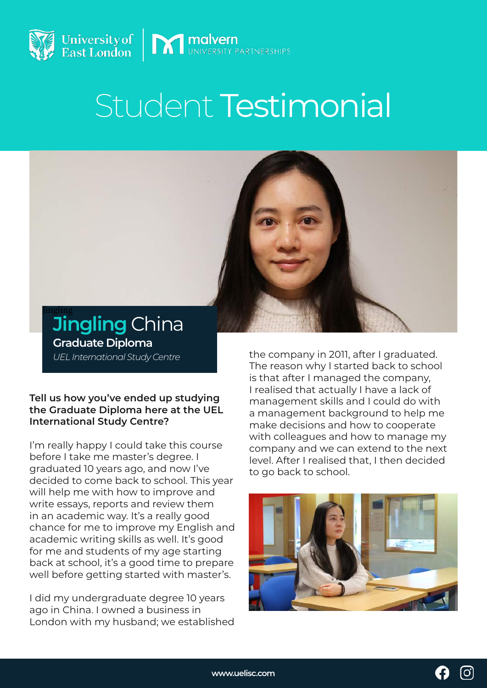

# Student Testimonial

**MINITED MINITED MINITED MINITED MINITED** 



**Jingling** China *UEL International Study Centre* **Graduate Diploma** 

#### **Tell us how you've ended up studying the Graduate Diploma here at the UEL International Study Centre?**

I'm really happy I could take this course before I take me master's degree. I graduated 10 years ago, and now I've decided to come back to school. This year will help me with how to improve and write essays, reports and review them in an academic way. It's a really good chance for me to improve my English and academic writing skills as well. It's good for me and students of my age starting back at school, it's a good time to prepare well before getting started with master's.

I did my undergraduate degree 10 years ago in China. I owned a business in London with my husband; we established the company in 2011, after I graduated. The reason why I started back to school is that after I managed the company, I realised that actually I have a lack of management skills and I could do with a management background to help me make decisions and how to cooperate with colleagues and how to manage my company and we can extend to the next level. After I realised that, I then decided to go back to school.